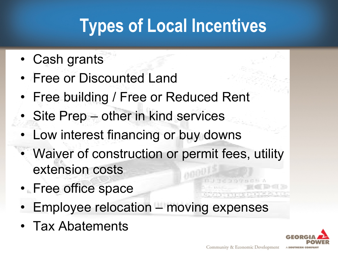# **Types of Local Incentives**

- Cash grants
- Free or Discounted Land
- Free building / Free or Reduced Rent
- Site Prep other in kind services
- Low interest financing or buy downs
- Waiver of construction or permit fees, utility extension costs
- Free office space
- Employee relocation moving expenses
- Tax Abatements

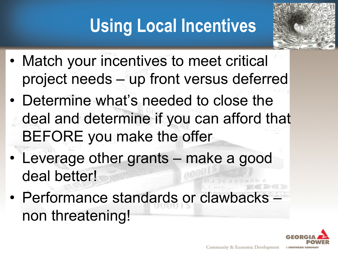# **Using Local Incentives**



- Match your incentives to meet critical project needs – up front versus deferred
- Determine what's needed to close the deal and determine if you can afford that BEFORE you make the offer
- Leverage other grants make a good deal better!
- Performance standards or clawbacks non threatening!

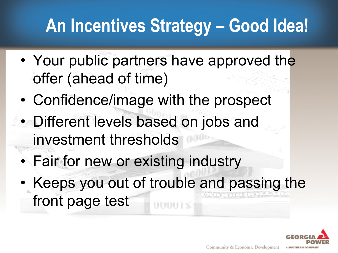# **An Incentives Strategy – Good Idea!**

- Your public partners have approved the offer (ahead of time)
- Confidence/image with the prospect
- Different levels based on jobs and investment thresholds
	- Fair for new or existing industry
	- Keeps you out of trouble and passing the front page test

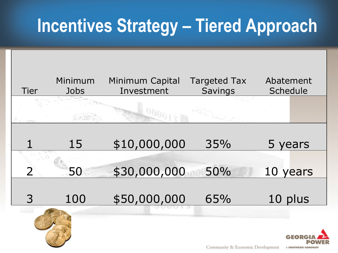### **Incentives Strategy – Tiered Approach**

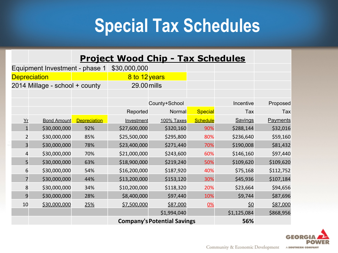#### **Special Tax Schedules**

| <b>Project Wood Chip - Tax Schedules</b> |  |  |  |
|------------------------------------------|--|--|--|
|------------------------------------------|--|--|--|

| Equipment Investment - phase 1 |                    | \$30,000,000        |                                    |             |                 |             |           |
|--------------------------------|--------------------|---------------------|------------------------------------|-------------|-----------------|-------------|-----------|
| <b>Depreciation</b>            |                    | 8 to 12 years       |                                    |             |                 |             |           |
| 2014 Millage - school + county |                    | 29.00 mills         |                                    |             |                 |             |           |
|                                |                    |                     |                                    |             |                 |             |           |
|                                |                    |                     | County+School                      |             | Incentive       | Proposed    |           |
|                                |                    |                     | Reported                           | Normal      | <b>Special</b>  | Tax         | Tax       |
| $Yr$                           | <b>Bond Amount</b> | <b>Depreciation</b> | Investment                         | 100% Taxes  | <b>Schedule</b> | Savings     | Payments  |
| $\mathbf{1}$                   | \$30,000,000       | 92%                 | \$27,600,000                       | \$320,160   | 90%             | \$288,144   | \$32,016  |
| $\overline{2}$                 | \$30,000,000       | 85%                 | \$25,500,000                       | \$295,800   | 80%             | \$236,640   | \$59,160  |
| $\overline{\mathbf{3}}$        | \$30,000,000       | 78%                 | \$23,400,000                       | \$271,440   | 70%             | \$190,008   | \$81,432  |
| $\overline{\mathbf{r}}$        | \$30,000,000       | 70%                 | \$21,000,000                       | \$243,600   | 60%             | \$146,160   | \$97,440  |
| 5                              | \$30,000,000       | 63%                 | \$18,900,000                       | \$219,240   | 50%             | \$109,620   | \$109,620 |
| 6                              | \$30,000,000       | 54%                 | \$16,200,000                       | \$187,920   | 40%             | \$75,168    | \$112,752 |
| $\overline{7}$                 | \$30,000,000       | 44%                 | \$13,200,000                       | \$153,120   | 30%             | \$45,936    | \$107,184 |
| 8                              | \$30,000,000       | 34%                 | \$10,200,000                       | \$118,320   | 20%             | \$23,664    | \$94,656  |
| 9                              | \$30,000,000       | 28%                 | \$8,400,000                        | \$97,440    | 10%             | \$9,744     | \$87,696  |
| 10                             | \$30,000,000       | 25%                 | \$7,500,000                        | \$87,000    | 0%              | <u>\$0</u>  | \$87,000  |
|                                |                    |                     |                                    | \$1,994,040 |                 | \$1,125,084 | \$868,956 |
|                                |                    |                     | <b>Company's Potential Savings</b> |             |                 | 56%         |           |

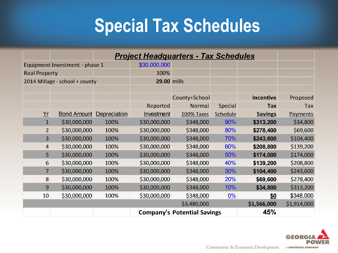## **Special Tax Schedules**

|                                | <b>Project Headquarters - Tax Schedules</b> |                    |              |                                    |          |                  |             |
|--------------------------------|---------------------------------------------|--------------------|--------------|------------------------------------|----------|------------------|-------------|
| Equipment Investment - phase 1 |                                             |                    | \$30,000,000 |                                    |          |                  |             |
| <b>Real Property</b>           |                                             |                    | 100%         |                                    |          |                  |             |
| 2014 Millage - school + county |                                             | <b>29.00 mills</b> |              |                                    |          |                  |             |
|                                |                                             |                    |              |                                    |          |                  |             |
|                                |                                             |                    |              | County+School                      |          | <b>Incentive</b> | Proposed    |
|                                |                                             |                    | Reported     | Normal                             | Special  | <b>Tax</b>       | Tax         |
| Yr                             | <b>Bond Amount</b>                          | Depreciation       | Investment   | <b>100% Taxes</b>                  | Schedule | <b>Savings</b>   | Payments    |
| $\mathbf{1}$                   | \$30,000,000                                | 100%               | \$30,000,000 | \$348,000                          | 90%      | \$313,200        | \$34,800    |
| $\overline{2}$                 | \$30,000,000                                | 100%               | \$30,000,000 | \$348,000                          | 80%      | \$278,400        | \$69,600    |
| $\overline{3}$                 | \$30,000,000                                | 100%               | \$30,000,000 | \$348,000                          | 70%      | \$243,600        | \$104,400   |
| 4                              | \$30,000,000                                | 100%               | \$30,000,000 | \$348,000                          | 60%      | \$208,800        | \$139,200   |
| 5                              | \$30,000,000                                | 100%               | \$30,000,000 | \$348,000                          | 50%      | \$174,000        | \$174,000   |
| 6                              | \$30,000,000                                | 100%               | \$30,000,000 | \$348,000                          | 40%      | \$139,200        | \$208,800   |
| $\overline{7}$                 | \$30,000,000                                | 100%               | \$30,000,000 | \$348,000                          | 30%      | \$104,400        | \$243,600   |
| 8                              | \$30,000,000                                | 100%               | \$30,000,000 | \$348,000                          | 20%      | \$69,600         | \$278,400   |
| 9                              | \$30,000,000                                | 100%               | \$30,000,000 | \$348,000                          | 10%      | \$34,800         | \$313,200   |
| 10                             | \$30,000,000                                | 100%               | \$30,000,000 | \$348,000                          | $0\%$    | \$0              | \$348,000   |
|                                |                                             |                    |              | \$3,480,000                        |          | \$1,566,000      | \$1,914,000 |
|                                |                                             |                    |              | <b>Company's Potential Savings</b> |          | 45%              |             |

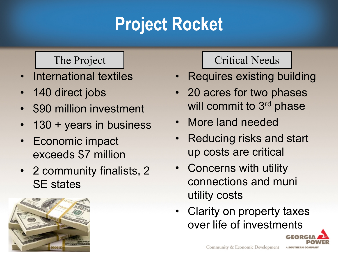# **Project Rocket**

- International textiles
- 140 direct jobs
- \$90 million investment
- 130 + years in business
- Economic impact exceeds \$7 million
- 2 community finalists, 2 SE states



#### The Project The Project Needs

- Requires existing building
- 20 acres for two phases will commit to 3<sup>rd</sup> phase
- More land needed
- Reducing risks and start up costs are critical
- Concerns with utility connections and muni utility costs
- Clarity on property taxes over life of investments

A SOUTHERN COMPAN